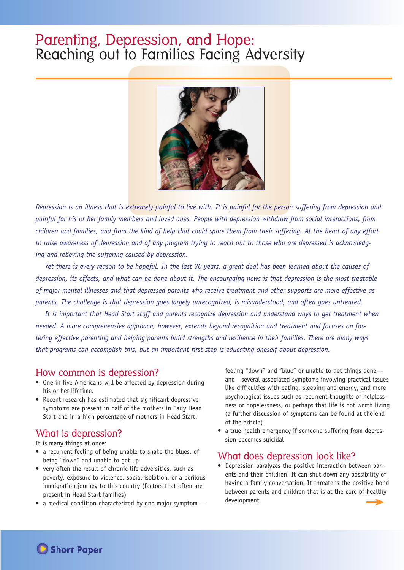# Parenting, Depression, and Hope: Reaching out to Families Facing Adversity



*Depression is an illness that is extremely painful to live with. It is painful for the person suffering from depression and painful for his or her family members and loved ones. People with depression withdraw from social interactions, from children and families, and from the kind of help that could spare them from their suffering. At the heart of any effort to raise awareness of depression and of any program trying to reach out to those who are depressed is acknowledging and relieving the suffering caused by depression.*

*Yet there is every reason to be hopeful. In the last 30 years, a great deal has been learned about the causes of depression, its effects, and what can be done about it. The encouraging news is that depression is the most treatable of major mental illnesses and that depressed parents who receive treatment and other supports are more effective as parents. The challenge is that depression goes largely unrecognized, is misunderstood, and often goes untreated.*

*It is important that Head Start staff and parents recognize depression and understand ways to get treatment when needed. A more comprehensive approach, however, extends beyond recognition and treatment and focuses on fostering effective parenting and helping parents build strengths and resilience in their families. There are many ways that programs can accomplish this, but an important first step is educating oneself about depression.*

### How common is depression?

- One in five Americans will be affected by depression during his or her lifetime.
- Recent research has estimated that significant depressive symptoms are present in half of the mothers in Early Head Start and in a high percentage of mothers in Head Start.

# What is depression?

It is many things at once:

Short Paper

- a recurrent feeling of being unable to shake the blues, of being "down" and unable to get up
- very often the result of chronic life adversities, such as poverty, exposure to violence, social isolation, or a perilous immigration journey to this country (factors that often are present in Head Start families)
- a medical condition characterized by one major symptom—

 feeling "down" and "blue" or unable to get things done and several associated symptoms involving practical issues like difficulties with eating, sleeping and energy, and more psychological issues such as recurrent thoughts of helplessness or hopelessness, or perhaps that life is not worth living (a further discussion of symptoms can be found at the end of the article)

• a true health emergency if someone suffering from depression becomes suicidal

## What does depression look like?

• Depression paralyzes the positive interaction between parents and their children. It can shut down any possibility of having a family conversation. It threatens the positive bond between parents and children that is at the core of healthy development.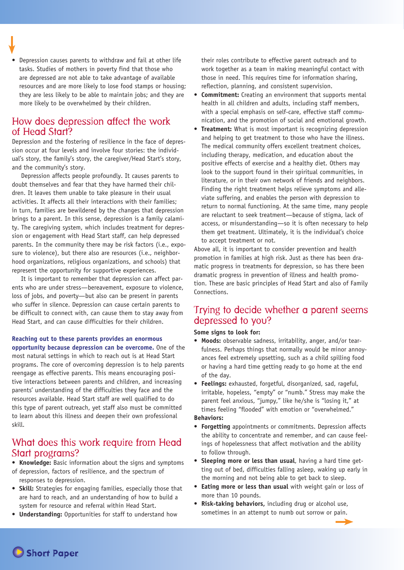• Depression causes parents to withdraw and fail at other life tasks. Studies of mothers in poverty find that those who are depressed are not able to take advantage of available resources and are more likely to lose food stamps or housing; they are less likely to be able to maintain jobs; and they are more likely to be overwhelmed by their children.

#### How does depression affect the work of Head Start?

Depression and the fostering of resilience in the face of depression occur at four levels and involve four stories: the individual's story, the family's story, the caregiver/Head Start's story, and the community's story.

Depression affects people profoundly. It causes parents to doubt themselves and fear that they have harmed their children. It leaves them unable to take pleasure in their usual activities. It affects all their interactions with their families; in turn, families are bewildered by the changes that depression brings to a parent. In this sense, depression is a family calamity. The caregiving system, which includes treatment for depression or engagement with Head Start staff, can help depressed parents. In the community there may be risk factors (i.e., exposure to violence), but there also are resources (i.e., neighborhood organizations, religious organizations, and schools) that represent the opportunity for supportive experiences.

It is important to remember that depression can affect parents who are under stress—bereavement, exposure to violence, loss of jobs, and poverty—but also can be present in parents who suffer in silence. Depression can cause certain parents to be difficult to connect with, can cause them to stay away from Head Start, and can cause difficulties for their children.

**Reaching out to these parents provides an enormous opportunity because depression can be overcome.** One of the most natural settings in which to reach out is at Head Start programs. The core of overcoming depression is to help parents reengage as effective parents. This means encouraging positive interactions between parents and children, and increasing parents' understanding of the difficulties they face and the resources available. Head Start staff are well qualified to do this type of parent outreach, yet staff also must be committed to learn about this illness and deepen their own professional skill.

### What does this work require from Head Start programs?

- **Knowledge:** Basic information about the signs and symptoms
- of depression, factors of resilience, and the spectrum of responses to depression.
- **Skill:** Strategies for engaging families, especially those that are hard to reach, and an understanding of how to build a system for resource and referral within Head Start.
- **Understanding:** Opportunities for staff to understand how

their roles contribute to effective parent outreach and to work together as a team in making meaningful contact with those in need. This requires time for information sharing, reflection, planning, and consistent supervision.

- **Commitment:** Creating an environment that supports mental health in all children and adults, including staff members, with a special emphasis on self-care, effective staff communication, and the promotion of social and emotional growth.
- **Treatment:** What is most important is recognizing depression and helping to get treatment to those who have the illness. The medical community offers excellent treatment choices, including therapy, medication, and education about the positive effects of exercise and a healthy diet. Others may look to the support found in their spiritual communities, in literature, or in their own network of friends and neighbors. Finding the right treatment helps relieve symptoms and alleviate suffering, and enables the person with depression to return to normal functioning. At the same time, many people are reluctant to seek treatment—because of stigma, lack of access, or misunderstanding—so it is often necessary to help them get treatment. Ultimately, it is the individual's choice to accept treatment or not.

Above all, it is important to consider prevention and health promotion in families at high risk. Just as there has been dramatic progress in treatments for depression, so has there been dramatic progress in prevention of illness and health promotion. These are basic principles of Head Start and also of Family Connections.

### Trying to decide whether a parent seems depressed to you?

**Some signs to look for:**

- **Moods:** observable sadness, irritability, anger, and/or tearfulness. Perhaps things that normally would be minor annoyances feel extremely upsetting, such as a child spilling food or having a hard time getting ready to go home at the end of the day.
- **Feelings:** exhausted, forgetful, disorganized, sad, rageful, irritable, hopeless, "empty" or "numb." Stress may make the parent feel anxious, "jumpy," like he/she is "losing it," at times feeling "flooded" with emotion or "overwhelmed." **Behaviors:**
- **Forgetting** appointments or commitments. Depression affects the ability to concentrate and remember, and can cause feelings of hopelessness that affect motivation and the ability to follow through.
- **Sleeping more or less than usual**, having a hard time getting out of bed, difficulties falling asleep, waking up early in the morning and not being able to get back to sleep.
- **Eating more or less than usual** with weight gain or loss of more than 10 pounds.
- **Risk-taking behaviors,** including drug or alcohol use, sometimes in an attempt to numb out sorrow or pain.